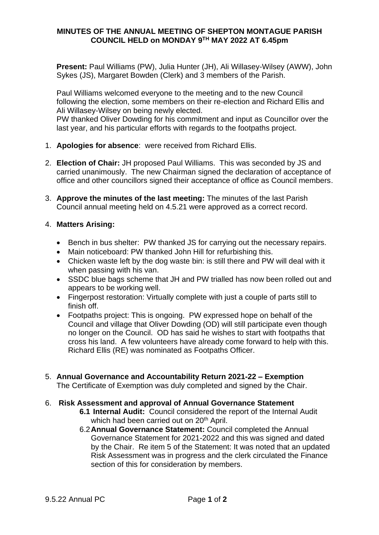### **MINUTES OF THE ANNUAL MEETING OF SHEPTON MONTAGUE PARISH COUNCIL HELD on MONDAY 9TH MAY 2022 AT 6.45pm**

**Present:** Paul Williams (PW), Julia Hunter (JH), Ali Willasey-Wilsey (AWW), John Sykes (JS), Margaret Bowden (Clerk) and 3 members of the Parish.

Paul Williams welcomed everyone to the meeting and to the new Council following the election, some members on their re-election and Richard Ellis and Ali Willasey-Wilsey on being newly elected.

PW thanked Oliver Dowding for his commitment and input as Councillor over the last year, and his particular efforts with regards to the footpaths project.

- 1. **Apologies for absence**: were received from Richard Ellis.
- 2. **Election of Chair:** JH proposed Paul Williams. This was seconded by JS and carried unanimously. The new Chairman signed the declaration of acceptance of office and other councillors signed their acceptance of office as Council members.
- 3. **Approve the minutes of the last meeting:** The minutes of the last Parish Council annual meeting held on 4.5.21 were approved as a correct record.

### 4. **Matters Arising:**

- Bench in bus shelter: PW thanked JS for carrying out the necessary repairs.
- Main noticeboard: PW thanked John Hill for refurbishing this.
- Chicken waste left by the dog waste bin: is still there and PW will deal with it when passing with his van.
- SSDC blue bags scheme that JH and PW trialled has now been rolled out and appears to be working well.
- Fingerpost restoration: Virtually complete with just a couple of parts still to finish off.
- Footpaths project: This is ongoing. PW expressed hope on behalf of the Council and village that Oliver Dowding (OD) will still participate even though no longer on the Council. OD has said he wishes to start with footpaths that cross his land. A few volunteers have already come forward to help with this. Richard Ellis (RE) was nominated as Footpaths Officer.
- 5. **Annual Governance and Accountability Return 2021-22 – Exemption** The Certificate of Exemption was duly completed and signed by the Chair.

### 6. **Risk Assessment and approval of Annual Governance Statement**

- **6.1 Internal Audit:** Council considered the report of the Internal Audit which had been carried out on 20<sup>th</sup> April.
- 6.2**Annual Governance Statement:** Council completed the Annual Governance Statement for 2021-2022 and this was signed and dated by the Chair. Re item 5 of the Statement: It was noted that an updated Risk Assessment was in progress and the clerk circulated the Finance section of this for consideration by members.